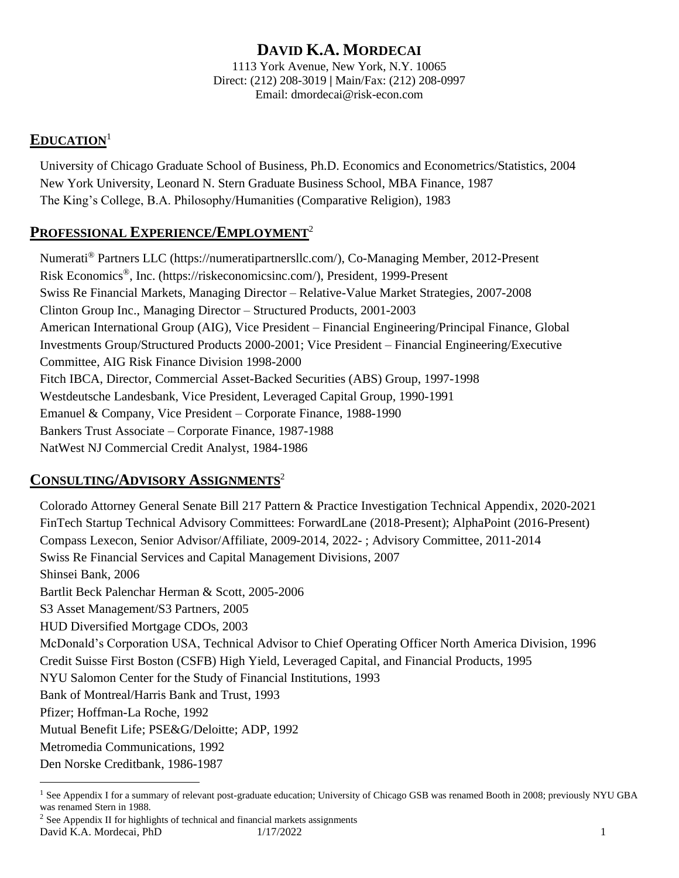# **DAVID K.A. MORDECAI**

1113 York Avenue, New York, N.Y. 10065 Direct: (212) 208-3019 **|** Main/Fax: (212) 208-0997 Email: [dmordecai@risk-econ.com](mailto:dmordecai@risk-econ.com)

# **EDUCATION**<sup>1</sup>

University of Chicago Graduate School of Business, Ph.D. Economics and Econometrics/Statistics, 2004 New York University, Leonard N. Stern Graduate Business School, MBA Finance, 1987 The King's College, B.A. Philosophy/Humanities (Comparative Religion), 1983

# **PROFESSIONAL EXPERIENCE/EMPLOYMENT**<sup>2</sup>

Numerati® Partners LLC (https://numeratipartnersllc.com/), Co-Managing Member, 2012-Present Risk Economics® , Inc. (https://riskeconomicsinc.com/), President, 1999-Present Swiss Re Financial Markets, Managing Director – Relative-Value Market Strategies, 2007-2008 Clinton Group Inc., Managing Director – Structured Products, 2001-2003 American International Group (AIG), Vice President – Financial Engineering/Principal Finance, Global Investments Group/Structured Products 2000-2001; Vice President – Financial Engineering/Executive Committee, AIG Risk Finance Division 1998-2000 Fitch IBCA, Director, Commercial Asset-Backed Securities (ABS) Group, 1997-1998 Westdeutsche Landesbank, Vice President, Leveraged Capital Group, 1990-1991 Emanuel & Company, Vice President – Corporate Finance, 1988-1990 Bankers Trust Associate – Corporate Finance, 1987-1988 NatWest NJ Commercial Credit Analyst, 1984-1986

# **CONSULTING/ADVISORY ASSIGNMENTS**<sup>2</sup>

Colorado Attorney General Senate Bill 217 Pattern & Practice Investigation Technical Appendix, 2020-2021 FinTech Startup Technical Advisory Committees: ForwardLane (2018-Present); AlphaPoint (2016-Present) Compass Lexecon, Senior Advisor/Affiliate, 2009-2014, 2022- ; Advisory Committee, 2011-2014 Swiss Re Financial Services and Capital Management Divisions, 2007 Shinsei Bank, 2006 Bartlit Beck Palenchar Herman & Scott, 2005-2006 S3 Asset Management/S3 Partners, 2005 HUD Diversified Mortgage CDOs, 2003 McDonald's Corporation USA, Technical Advisor to Chief Operating Officer North America Division, 1996 Credit Suisse First Boston (CSFB) High Yield, Leveraged Capital, and Financial Products, 1995 NYU Salomon Center for the Study of Financial Institutions, 1993 Bank of Montreal/Harris Bank and Trust, 1993 Pfizer; Hoffman-La Roche, 1992 Mutual Benefit Life; PSE&G/Deloitte; ADP, 1992 Metromedia Communications, 1992 Den Norske Creditbank, 1986-1987

David K.A. Mordecai, PhD 1/17/2022 1 <sup>2</sup> See Appendix II for highlights of technical and financial markets assignments

<sup>&</sup>lt;sup>1</sup> See Appendix I for a summary of relevant post-graduate education; University of Chicago GSB was renamed Booth in 2008; previously NYU GBA was renamed Stern in 1988.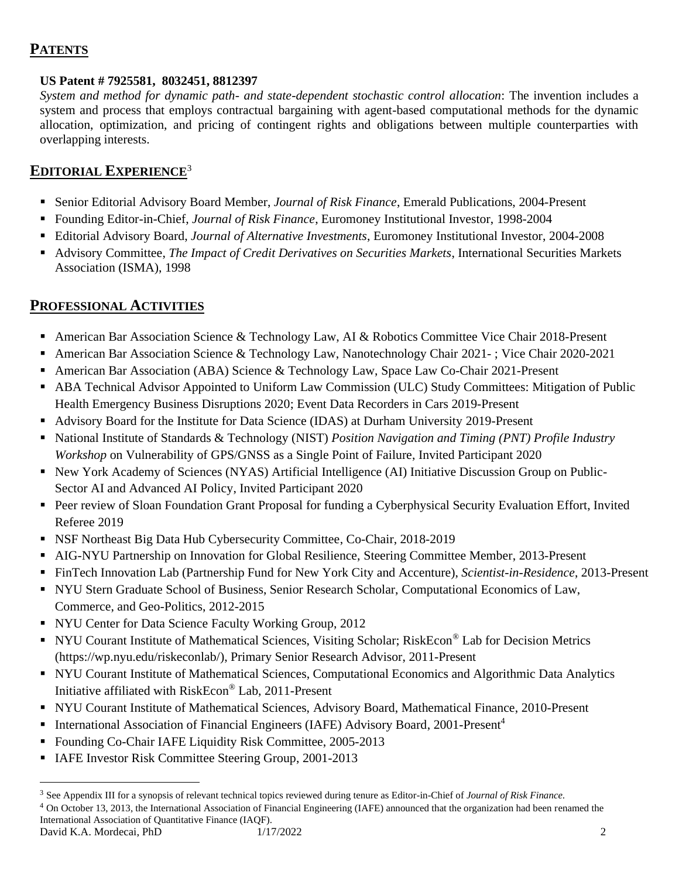# **PATENTS**

### **US Patent # 7925581, [8032451,](http://www.patentgenius.com/patent/8032451.html) 8812397**

*System and method for dynamic path- and state-dependent stochastic control allocation*: The invention includes a system and process that employs contractual bargaining with agent-based computational methods for the dynamic allocation, optimization, and pricing of contingent rights and obligations between multiple counterparties with overlapping interests.

# **EDITORIAL EXPERIENCE**<sup>3</sup>

- Senior Editorial Advisory Board Member, *Journal of Risk Finance*, Emerald Publications, 2004-Present
- Founding Editor-in-Chief, *Journal of Risk Finance*, Euromoney Institutional Investor, 1998-2004
- Editorial Advisory Board, *Journal of Alternative Investments*, Euromoney Institutional Investor, 2004-2008
- Advisory Committee, *The Impact of Credit Derivatives on Securities Markets*, International Securities Markets Association (ISMA), 1998

# **PROFESSIONAL ACTIVITIES**

- American Bar Association Science & Technology Law, AI & Robotics Committee Vice Chair 2018-Present
- American Bar Association Science & Technology Law, Nanotechnology Chair 2021-; Vice Chair 2020-2021
- American Bar Association (ABA) Science & Technology Law, Space Law Co-Chair 2021-Present
- ABA Technical Advisor Appointed to Uniform Law Commission (ULC) Study Committees: Mitigation of Public Health Emergency Business Disruptions 2020; Event Data Recorders in Cars 2019-Present
- Advisory Board for the Institute for Data Science (IDAS) at Durham University 2019-Present
- National Institute of Standards & Technology (NIST) *Position Navigation and Timing (PNT) Profile Industry Workshop* on Vulnerability of GPS/GNSS as a Single Point of Failure, Invited Participant 2020
- New York Academy of Sciences (NYAS) Artificial Intelligence (AI) Initiative Discussion Group on Public-Sector AI and Advanced AI Policy, Invited Participant 2020
- Peer review of Sloan Foundation Grant Proposal for funding a Cyberphysical Security Evaluation Effort, Invited Referee 2019
- NSF Northeast Big Data Hub Cybersecurity Committee, Co-Chair, 2018-2019
- AIG-NYU Partnership on Innovation for Global Resilience, Steering Committee Member, 2013-Present
- FinTech Innovation Lab (Partnership Fund for New York City and Accenture), *Scientist-in-Residence*, 2013-Present
- NYU Stern Graduate School of Business, Senior Research Scholar, Computational Economics of Law, Commerce, and Geo-Politics, 2012-2015
- NYU Center for Data Science Faculty Working Group, 2012
- NYU Courant Institute of Mathematical Sciences, Visiting Scholar; RiskEcon<sup>®</sup> Lab for Decision Metrics (https://wp.nyu.edu/riskeconlab/), Primary Senior Research Advisor, 2011-Present
- NYU Courant Institute of Mathematical Sciences, Computational Economics and Algorithmic Data Analytics Initiative affiliated with RiskEcon® Lab, 2011-Present
- NYU Courant Institute of Mathematical Sciences, Advisory Board, Mathematical Finance, 2010-Present
- International Association of Financial Engineers (IAFE) Advisory Board, 2001-Present<sup>4</sup>
- Founding Co-Chair IAFE Liquidity Risk Committee, 2005-2013
- IAFE Investor Risk Committee Steering Group, 2001-2013

David K.A. Mordecai, PhD 1/17/2022 2 <sup>3</sup> See Appendix III for a synopsis of relevant technical topics reviewed during tenure as Editor-in-Chief of *Journal of Risk Finance.* <sup>4</sup> On October 13, 2013, the International Association of Financial Engineering (IAFE) announced that the organization had been renamed the International Association of Quantitative Finance (IAQF).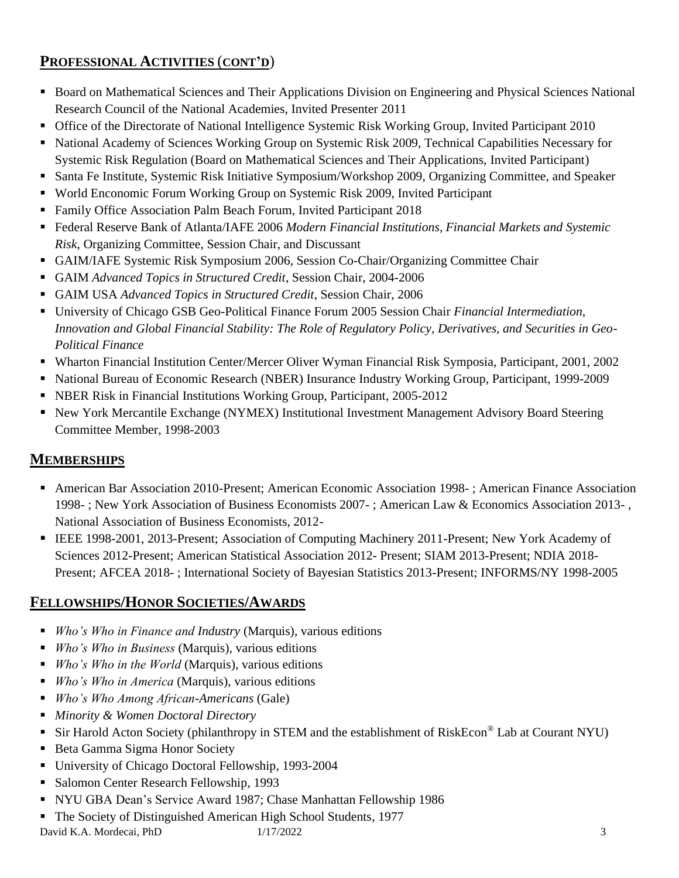# **PROFESSIONAL ACTIVITIES** (**CONT'D**)

- Board on Mathematical Sciences and Their Applications Division on Engineering and Physical Sciences National Research Council of the National Academies, Invited Presenter 2011
- Office of the Directorate of National Intelligence Systemic Risk Working Group, Invited Participant 2010
- National Academy of Sciences Working Group on Systemic Risk 2009, Technical Capabilities Necessary for Systemic Risk Regulation (Board on Mathematical Sciences and Their Applications, Invited Participant)
- Santa Fe Institute, Systemic Risk Initiative Symposium/Workshop 2009, Organizing Committee, and Speaker
- World Enconomic Forum Working Group on Systemic Risk 2009, Invited Participant
- **Example 1** Family Office Association Palm Beach Forum, Invited Participant 2018
- Federal Reserve Bank of Atlanta/IAFE 2006 *Modern Financial Institutions, Financial Markets and Systemic Risk*, Organizing Committee, Session Chair, and Discussant
- GAIM/IAFE Systemic Risk Symposium 2006, Session Co-Chair/Organizing Committee Chair
- GAIM *Advanced Topics in Structured Credit*, Session Chair, 2004-2006
- GAIM USA *Advanced Topics in Structured Credit*, Session Chair, 2006
- University of Chicago GSB Geo-Political Finance Forum 2005 Session Chair *Financial Intermediation*, *Innovation and Global Financial Stability: The Role of Regulatory Policy, Derivatives, and Securities in Geo-Political Finance*
- Wharton Financial Institution Center/Mercer Oliver Wyman Financial Risk Symposia, Participant, 2001, 2002
- National Bureau of Economic Research (NBER) Insurance Industry Working Group, Participant, 1999-2009
- NBER Risk in Financial Institutions Working Group, Participant, 2005-2012
- New York Mercantile Exchange (NYMEX) Institutional Investment Management Advisory Board Steering Committee Member, 1998-2003

# **MEMBERSHIPS**

- American Bar Association 2010-Present; American Economic Association 1998-; American Finance Association 1998- ; New York Association of Business Economists 2007- ; American Law & Economics Association 2013- , National Association of Business Economists, 2012-
- **EEE 1998-2001, 2013-Present; Association of Computing Machinery 2011-Present; New York Academy of** Sciences 2012-Present; American Statistical Association 2012- Present; SIAM 2013-Present; NDIA 2018- Present; AFCEA 2018- ; International Society of Bayesian Statistics 2013-Present; INFORMS/NY 1998-2005

# **FELLOWSHIPS/HONOR SOCIETIES/AWARDS**

- *Who's Who in Finance and Industry* (Marquis), various editions
- *Who's Who in Business* (Marquis), various editions
- *Who's Who in the World* (Marquis), various editions
- *Who's Who in America* (Marquis), various editions
- *Who's Who Among African-Americans* (Gale)
- *Minority & Women Doctoral Directory*
- Sir Harold Acton Society (philanthropy in STEM and the establishment of RiskEcon<sup>®</sup> Lab at Courant NYU)
- Beta Gamma Sigma Honor Society
- University of Chicago Doctoral Fellowship, 1993-2004
- Salomon Center Research Fellowship, 1993
- NYU GBA Dean's Service Award 1987; Chase Manhattan Fellowship 1986
- The Society of Distinguished American High School Students, 1977

David K.A. Mordecai, PhD 1/17/2022 3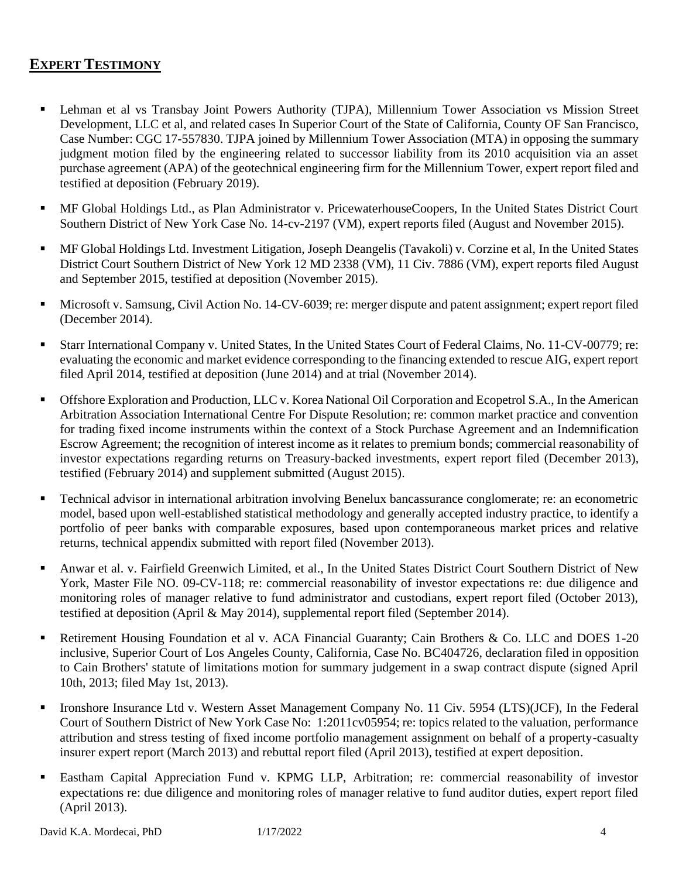# **EXPERT TESTIMONY**

- **Example 1** Lehman et al vs Transbay Joint Powers Authority (TJPA), Millennium Tower Association vs Mission Street Development, LLC et al, and related cases In Superior Court of the State of California, County OF San Francisco, Case Number: CGC 17-557830. TJPA joined by Millennium Tower Association (MTA) in opposing the summary judgment motion filed by the engineering related to successor liability from its 2010 acquisition via an asset purchase agreement (APA) of the geotechnical engineering firm for the Millennium Tower, expert report filed and testified at deposition (February 2019).
- MF Global Holdings Ltd., as Plan Administrator v. PricewaterhouseCoopers, In the United States District Court Southern District of New York Case No. 14-cv-2197 (VM), expert reports filed (August and November 2015).
- MF Global Holdings Ltd. Investment Litigation, Joseph Deangelis (Tavakoli) v. Corzine et al, In the United States District Court Southern District of New York 12 MD 2338 (VM), 11 Civ. 7886 (VM), expert reports filed August and September 2015, testified at deposition (November 2015).
- Microsoft v. Samsung, Civil Action No. 14-CV-6039; re: merger dispute and patent assignment; expert report filed (December 2014).
- Starr International Company v. United States, In the United States Court of Federal Claims, No. 11-CV-00779; re: evaluating the economic and market evidence corresponding to the financing extended to rescue AIG, expert report filed April 2014, testified at deposition (June 2014) and at trial (November 2014).
- **•** Offshore Exploration and Production, LLC v. Korea National Oil Corporation and Ecopetrol S.A., In the American Arbitration Association International Centre For Dispute Resolution; re: common market practice and convention for trading fixed income instruments within the context of a Stock Purchase Agreement and an Indemnification Escrow Agreement; the recognition of interest income as it relates to premium bonds; commercial reasonability of investor expectations regarding returns on Treasury-backed investments, expert report filed (December 2013), testified (February 2014) and supplement submitted (August 2015).
- Technical advisor in international arbitration involving Benelux bancassurance conglomerate; re: an econometric model, based upon well-established statistical methodology and generally accepted industry practice, to identify a portfolio of peer banks with comparable exposures, based upon contemporaneous market prices and relative returns, technical appendix submitted with report filed (November 2013).
- Anwar et al. v. Fairfield Greenwich Limited, et al., In the United States District Court Southern District of New York, Master File NO. 09-CV-118; re: commercial reasonability of investor expectations re: due diligence and monitoring roles of manager relative to fund administrator and custodians, expert report filed (October 2013), testified at deposition (April & May 2014), supplemental report filed (September 2014).
- **•** Retirement Housing Foundation et al v. ACA Financial Guaranty; Cain Brothers & Co. LLC and DOES 1-20 inclusive, Superior Court of Los Angeles County, California, Case No. BC404726, declaration filed in opposition to Cain Brothers' statute of limitations motion for summary judgement in a swap contract dispute (signed April 10th, 2013; filed May 1st, 2013).
- **•** Ironshore Insurance Ltd v. Western Asset Management Company No. 11 Civ. 5954 (LTS)(JCF), In the Federal Court of Southern District of New York Case No: 1:2011cv05954; re: topics related to the valuation, performance attribution and stress testing of fixed income portfolio management assignment on behalf of a property-casualty insurer expert report (March 2013) and rebuttal report filed (April 2013), testified at expert deposition.
- **Eastham Capital Appreciation Fund v. KPMG LLP, Arbitration; re: commercial reasonability of investor** expectations re: due diligence and monitoring roles of manager relative to fund auditor duties, expert report filed (April 2013).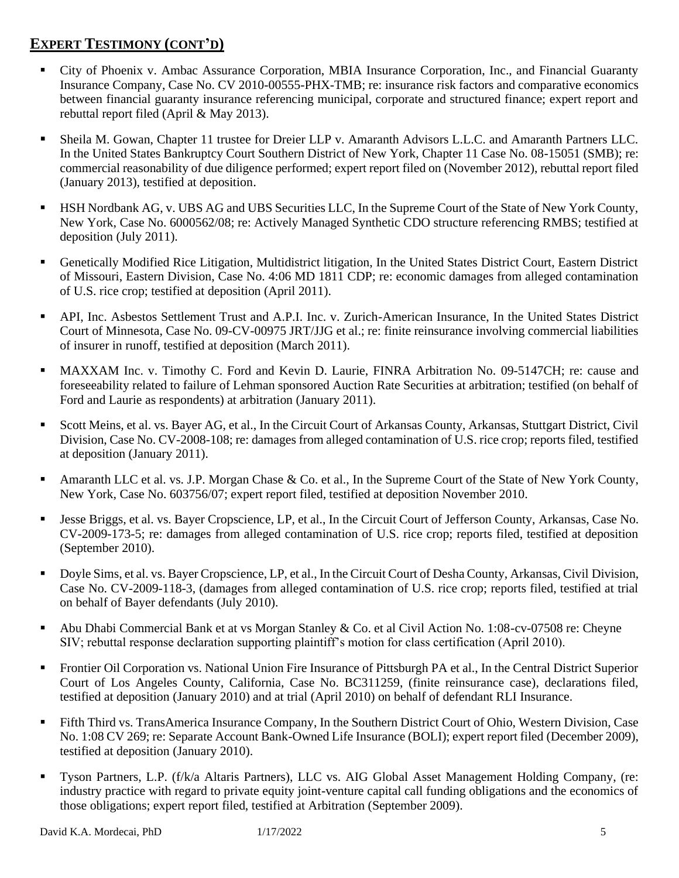# **EXPERT TESTIMONY (CONT'D)**

- City of Phoenix v. Ambac Assurance Corporation, MBIA Insurance Corporation, Inc., and Financial Guaranty Insurance Company, Case No. CV 2010-00555-PHX-TMB; re: insurance risk factors and comparative economics between financial guaranty insurance referencing municipal, corporate and structured finance; expert report and rebuttal report filed (April & May 2013).
- Sheila M. Gowan, Chapter 11 trustee for Dreier LLP v. Amaranth Advisors L.L.C. and Amaranth Partners LLC. In the United States Bankruptcy Court Southern District of New York, Chapter 11 Case No. 08-15051 (SMB); re: commercial reasonability of due diligence performed; expert report filed on (November 2012), rebuttal report filed (January 2013), testified at deposition.
- HSH Nordbank AG, v. UBS AG and UBS Securities LLC, In the Supreme Court of the State of New York County, New York, Case No. 6000562/08; re: Actively Managed Synthetic CDO structure referencing RMBS; testified at deposition (July 2011).
- Genetically Modified Rice Litigation, Multidistrict litigation, In the United States District Court, Eastern District of Missouri, Eastern Division, Case No. 4:06 MD 1811 CDP; re: economic damages from alleged contamination of U.S. rice crop; testified at deposition (April 2011).
- API, Inc. Asbestos Settlement Trust and A.P.I. Inc. v. Zurich-American Insurance, In the United States District Court of Minnesota, Case No. 09-CV-00975 JRT/JJG et al.; re: finite reinsurance involving commercial liabilities of insurer in runoff, testified at deposition (March 2011).
- **MAXXAM Inc. v. Timothy C. Ford and Kevin D. Laurie, FINRA Arbitration No. 09-5147CH; re: cause and** foreseeability related to failure of Lehman sponsored Auction Rate Securities at arbitration; testified (on behalf of Ford and Laurie as respondents) at arbitration (January 2011).
- Scott Meins, et al. vs. Bayer AG, et al., In the Circuit Court of Arkansas County, Arkansas, Stuttgart District, Civil Division, Case No. CV-2008-108; re: damages from alleged contamination of U.S. rice crop; reports filed, testified at deposition (January 2011).
- Amaranth LLC et al. vs. J.P. Morgan Chase  $\&$  Co. et al., In the Supreme Court of the State of New York County, New York, Case No. 603756/07; expert report filed, testified at deposition November 2010.
- **•** Jesse Briggs, et al. vs. Bayer Cropscience, LP, et al., In the Circuit Court of Jefferson County, Arkansas, Case No. CV-2009-173-5; re: damages from alleged contamination of U.S. rice crop; reports filed, testified at deposition (September 2010).
- Doyle Sims, et al. vs. Bayer Cropscience, LP, et al., In the Circuit Court of Desha County, Arkansas, Civil Division, Case No. CV-2009-118-3, (damages from alleged contamination of U.S. rice crop; reports filed, testified at trial on behalf of Bayer defendants (July 2010).
- Abu Dhabi Commercial Bank et at vs Morgan Stanley & Co. et al Civil Action No. 1:08-cv-07508 re: Cheyne SIV; rebuttal response declaration supporting plaintiff's motion for class certification (April 2010).
- **Frontier Oil Corporation vs. National Union Fire Insurance of Pittsburgh PA et al., In the Central District Superior** Court of Los Angeles County, California, Case No. BC311259, (finite reinsurance case), declarations filed, testified at deposition (January 2010) and at trial (April 2010) on behalf of defendant RLI Insurance.
- **•** Fifth Third vs. TransAmerica Insurance Company, In the Southern District Court of Ohio, Western Division, Case No. 1:08 CV 269; re: Separate Account Bank-Owned Life Insurance (BOLI); expert report filed (December 2009), testified at deposition (January 2010).
- Tyson Partners, L.P. (f/k/a Altaris Partners), LLC vs. AIG Global Asset Management Holding Company, (re: industry practice with regard to private equity joint-venture capital call funding obligations and the economics of those obligations; expert report filed, testified at Arbitration (September 2009).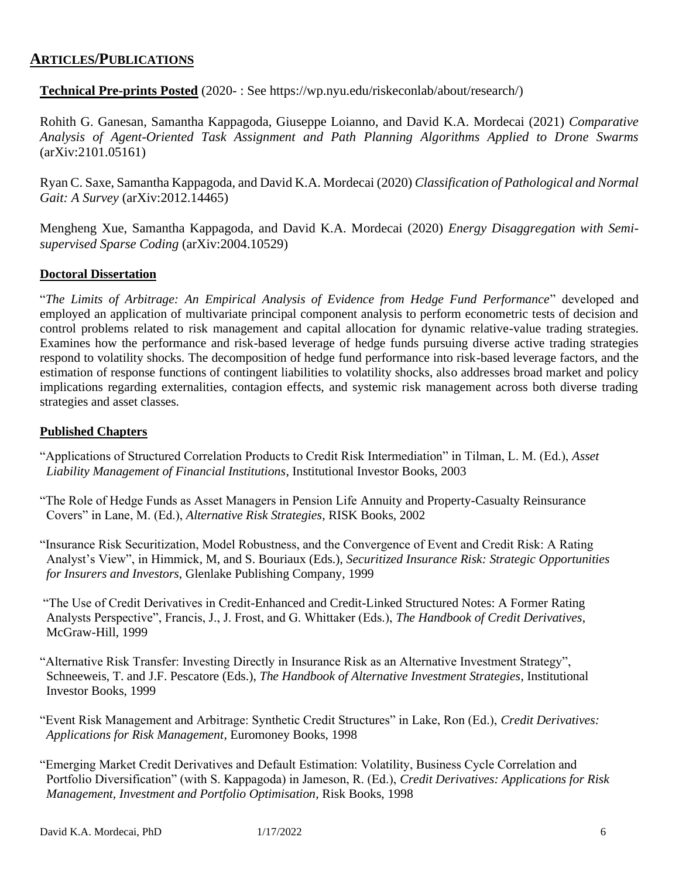### **ARTICLES/PUBLICATIONS**

**Technical Pre-prints Posted** (2020- : See https://wp.nyu.edu/riskeconlab/about/research/)

Rohith G. Ganesan, Samantha Kappagoda, Giuseppe Loianno, and David K.A. Mordecai (2021) *Comparative Analysis of Agent-Oriented Task Assignment and Path Planning Algorithms Applied to Drone Swarms* (arXiv:2101.05161)

Ryan C. Saxe, Samantha Kappagoda, and David K.A. Mordecai (2020) *Classification of Pathological and Normal Gait: A Survey* (arXiv:2012.14465)

Mengheng Xue, Samantha Kappagoda, and David K.A. Mordecai (2020) *Energy Disaggregation with Semisupervised Sparse Coding* (arXiv:2004.10529)

#### **Doctoral Dissertation**

"*The Limits of Arbitrage: An Empirical Analysis of Evidence from Hedge Fund Performance*" developed and employed an application of multivariate principal component analysis to perform econometric tests of decision and control problems related to risk management and capital allocation for dynamic relative-value trading strategies. Examines how the performance and risk-based leverage of hedge funds pursuing diverse active trading strategies respond to volatility shocks. The decomposition of hedge fund performance into risk-based leverage factors, and the estimation of response functions of contingent liabilities to volatility shocks, also addresses broad market and policy implications regarding externalities, contagion effects, and systemic risk management across both diverse trading strategies and asset classes.

#### **Published Chapters**

- "Applications of Structured Correlation Products to Credit Risk Intermediation" in Tilman, L. M. (Ed.), *Asset Liability Management of Financial Institutions*, Institutional Investor Books, 2003
- "The Role of Hedge Funds as Asset Managers in Pension Life Annuity and Property-Casualty Reinsurance Covers" in Lane, M. (Ed.), *Alternative Risk Strategies*, RISK Books, 2002
- "Insurance Risk Securitization, Model Robustness, and the Convergence of Event and Credit Risk: A Rating Analyst's View", in Himmick, M, and S. Bouriaux (Eds.), *Securitized Insurance Risk: Strategic Opportunities for Insurers and Investors*, Glenlake Publishing Company, 1999
- "The Use of Credit Derivatives in Credit-Enhanced and Credit-Linked Structured Notes: A Former Rating Analysts Perspective", Francis, J., J. Frost, and G. Whittaker (Eds.), *The Handbook of Credit Derivatives*, McGraw-Hill, 1999
- "Alternative Risk Transfer: Investing Directly in Insurance Risk as an Alternative Investment Strategy", Schneeweis, T. and J.F. Pescatore (Eds.), *The Handbook of Alternative Investment Strategies*, Institutional Investor Books, 1999
- "Event Risk Management and Arbitrage: Synthetic Credit Structures" in Lake, Ron (Ed.), *Credit Derivatives: Applications for Risk Management*, Euromoney Books, 1998
- "Emerging Market Credit Derivatives and Default Estimation: Volatility, Business Cycle Correlation and Portfolio Diversification" (with S. Kappagoda) in Jameson, R. (Ed.), *Credit Derivatives: Applications for Risk Management, Investment and Portfolio Optimisation*, Risk Books, 1998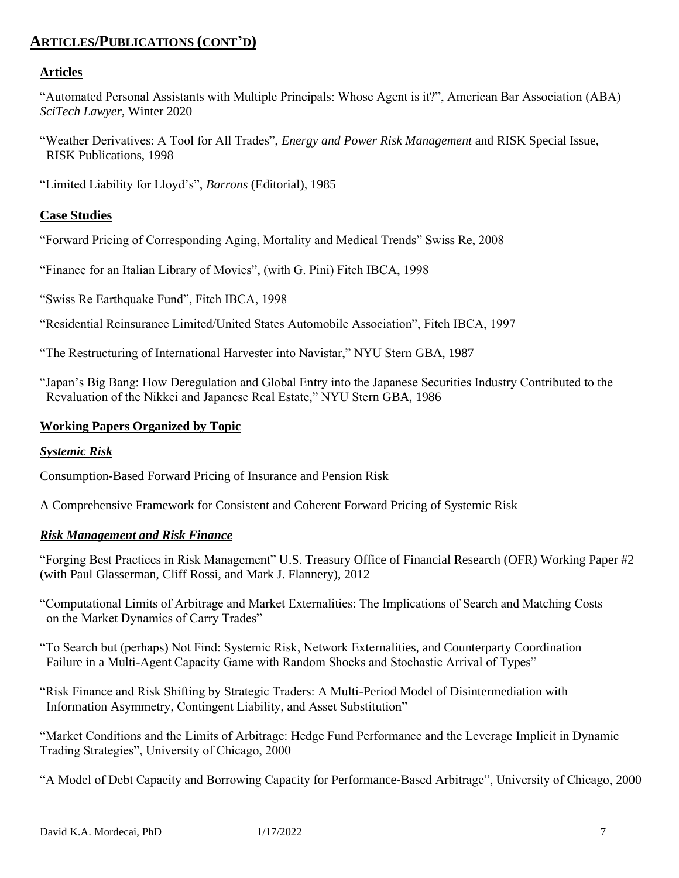# **ARTICLES/PUBLICATIONS (CONT'D)**

#### **Articles**

"Automated Personal Assistants with Multiple Principals: Whose Agent is it?", American Bar Association (ABA) *SciTech Lawyer*, Winter 2020

"Weather Derivatives: A Tool for All Trades", *Energy and Power Risk Management* and RISK Special Issue, RISK Publications, 1998

"Limited Liability for Lloyd's", *Barrons* (Editorial), 1985

#### **Case Studies**

"Forward Pricing of Corresponding Aging, Mortality and Medical Trends" Swiss Re, 2008

"Finance for an Italian Library of Movies", (with G. Pini) Fitch IBCA, 1998

"Swiss Re Earthquake Fund", Fitch IBCA, 1998

"Residential Reinsurance Limited/United States Automobile Association", Fitch IBCA, 1997

"The Restructuring of International Harvester into Navistar," NYU Stern GBA, 1987

"Japan's Big Bang: How Deregulation and Global Entry into the Japanese Securities Industry Contributed to the Revaluation of the Nikkei and Japanese Real Estate," NYU Stern GBA, 1986

#### **Working Papers Organized by Topic**

#### *Systemic Risk*

Consumption-Based Forward Pricing of Insurance and Pension Risk

A Comprehensive Framework for Consistent and Coherent Forward Pricing of Systemic Risk

#### *Risk Management and Risk Finance*

"Forging Best Practices in Risk Management" U.S. Treasury Office of Financial Research (OFR) Working Paper #2 (with Paul Glasserman, Cliff Rossi, and Mark J. Flannery), 2012

"Computational Limits of Arbitrage and Market Externalities: The Implications of Search and Matching Costs on the Market Dynamics of Carry Trades"

"To Search but (perhaps) Not Find: Systemic Risk, Network Externalities, and Counterparty Coordination Failure in a Multi-Agent Capacity Game with Random Shocks and Stochastic Arrival of Types"

"Risk Finance and Risk Shifting by Strategic Traders: A Multi-Period Model of Disintermediation with Information Asymmetry, Contingent Liability, and Asset Substitution"

"Market Conditions and the Limits of Arbitrage: Hedge Fund Performance and the Leverage Implicit in Dynamic Trading Strategies", University of Chicago, 2000

"A Model of Debt Capacity and Borrowing Capacity for Performance-Based Arbitrage", University of Chicago, 2000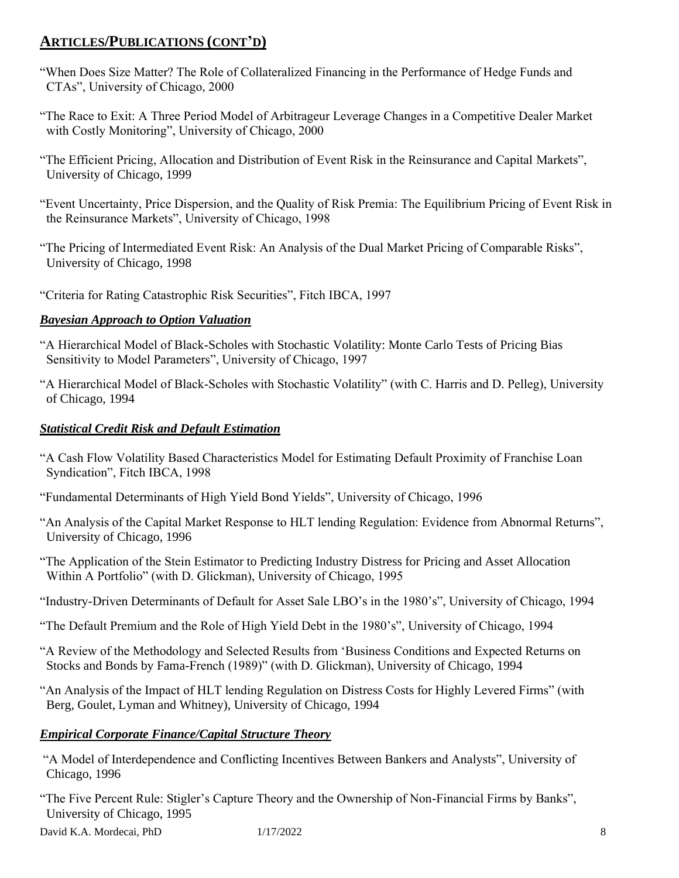## **ARTICLES/PUBLICATIONS (CONT'D)**

- "When Does Size Matter? The Role of Collateralized Financing in the Performance of Hedge Funds and CTAs", University of Chicago, 2000
- "The Race to Exit: A Three Period Model of Arbitrageur Leverage Changes in a Competitive Dealer Market with Costly Monitoring", University of Chicago, 2000
- "The Efficient Pricing, Allocation and Distribution of Event Risk in the Reinsurance and Capital Markets", University of Chicago, 1999
- "Event Uncertainty, Price Dispersion, and the Quality of Risk Premia: The Equilibrium Pricing of Event Risk in the Reinsurance Markets", University of Chicago, 1998
- "The Pricing of Intermediated Event Risk: An Analysis of the Dual Market Pricing of Comparable Risks", University of Chicago, 1998
- "Criteria for Rating Catastrophic Risk Securities", Fitch IBCA, 1997

### *Bayesian Approach to Option Valuation*

- "A Hierarchical Model of Black-Scholes with Stochastic Volatility: Monte Carlo Tests of Pricing Bias Sensitivity to Model Parameters", University of Chicago, 1997
- "A Hierarchical Model of Black-Scholes with Stochastic Volatility" (with C. Harris and D. Pelleg), University of Chicago, 1994

#### *Statistical Credit Risk and Default Estimation*

- "A Cash Flow Volatility Based Characteristics Model for Estimating Default Proximity of Franchise Loan Syndication", Fitch IBCA, 1998
- "Fundamental Determinants of High Yield Bond Yields", University of Chicago, 1996
- "An Analysis of the Capital Market Response to HLT lending Regulation: Evidence from Abnormal Returns", University of Chicago, 1996
- "The Application of the Stein Estimator to Predicting Industry Distress for Pricing and Asset Allocation Within A Portfolio" (with D. Glickman), University of Chicago, 1995
- "Industry-Driven Determinants of Default for Asset Sale LBO's in the 1980's", University of Chicago, 1994
- "The Default Premium and the Role of High Yield Debt in the 1980's", University of Chicago, 1994
- "A Review of the Methodology and Selected Results from 'Business Conditions and Expected Returns on Stocks and Bonds by Fama-French (1989)" (with D. Glickman), University of Chicago, 1994
- "An Analysis of the Impact of HLT lending Regulation on Distress Costs for Highly Levered Firms" (with Berg, Goulet, Lyman and Whitney), University of Chicago, 1994

### *Empirical Corporate Finance/Capital Structure Theory*

- "A Model of Interdependence and Conflicting Incentives Between Bankers and Analysts", University of Chicago, 1996
- "The Five Percent Rule: Stigler's Capture Theory and the Ownership of Non-Financial Firms by Banks", University of Chicago, 1995

David K.A. Mordecai, PhD 1/17/2022 8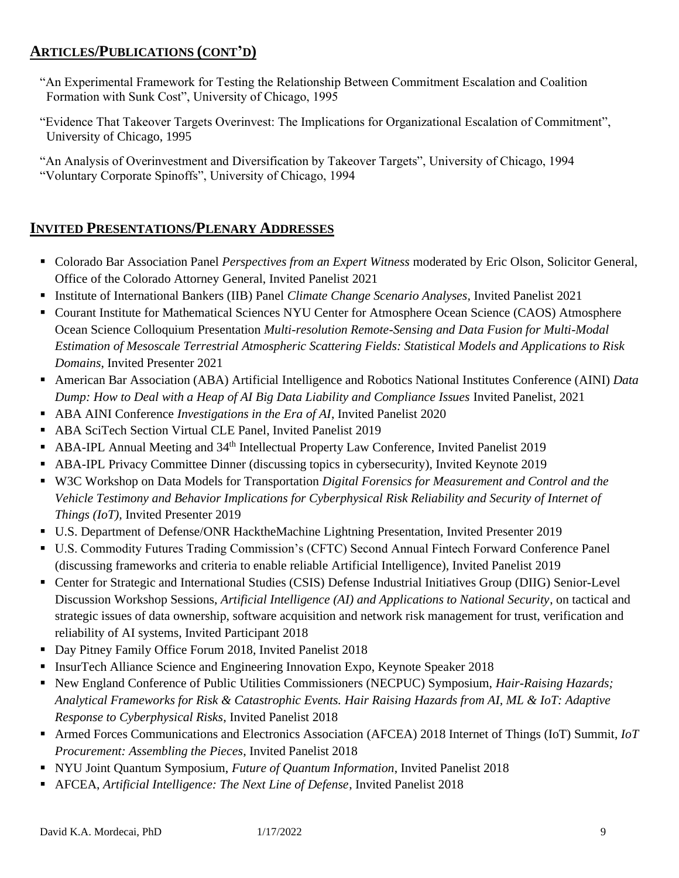## **ARTICLES/PUBLICATIONS (CONT'D)**

- "An Experimental Framework for Testing the Relationship Between Commitment Escalation and Coalition Formation with Sunk Cost", University of Chicago, 1995
- "Evidence That Takeover Targets Overinvest: The Implications for Organizational Escalation of Commitment", University of Chicago, 1995

"An Analysis of Overinvestment and Diversification by Takeover Targets", University of Chicago, 1994 "Voluntary Corporate Spinoffs", University of Chicago, 1994

# **INVITED PRESENTATIONS/PLENARY ADDRESSES**

- Colorado Bar Association Panel *Perspectives from an Expert Witness* moderated by Eric Olson, Solicitor General, Office of the Colorado Attorney General, Invited Panelist 2021
- Institute of International Bankers (IIB) Panel *Climate Change Scenario Analyses,* Invited Panelist 2021
- Courant Institute for Mathematical Sciences NYU Center for Atmosphere Ocean Science (CAOS) Atmosphere Ocean Science Colloquium Presentation *Multi-resolution Remote-Sensing and Data Fusion for Multi-Modal Estimation of Mesoscale Terrestrial Atmospheric Scattering Fields: Statistical Models and Applications to Risk Domains*, Invited Presenter 2021
- American Bar Association (ABA) Artificial Intelligence and Robotics National Institutes Conference (AINI) *Data Dump: How to Deal with a Heap of AI Big Data Liability and Compliance Issues* Invited Panelist, 2021
- ABA AINI Conference *Investigations in the Era of AI*, Invited Panelist 2020
- ABA SciTech Section Virtual CLE Panel, Invited Panelist 2019
- ABA-IPL Annual Meeting and 34<sup>th</sup> Intellectual Property Law Conference, Invited Panelist 2019
- ABA-IPL Privacy Committee Dinner (discussing topics in cybersecurity), Invited Keynote 2019
- W3C Workshop on Data Models for Transportation *Digital Forensics for Measurement and Control and the Vehicle Testimony and Behavior Implications for Cyberphysical Risk Reliability and Security of Internet of Things (IoT),* Invited Presenter 2019
- U.S. Department of Defense/ONR HacktheMachine Lightning Presentation, Invited Presenter 2019
- U.S. Commodity Futures Trading Commission's (CFTC) Second Annual Fintech Forward Conference Panel (discussing frameworks and criteria to enable reliable Artificial Intelligence), Invited Panelist 2019
- Center for Strategic and International Studies (CSIS) Defense Industrial Initiatives Group (DIIG) Senior-Level Discussion Workshop Sessions, *Artificial Intelligence (AI) and Applications to National Security*, on tactical and strategic issues of data ownership, software acquisition and network risk management for trust, verification and reliability of AI systems, Invited Participant 2018
- Day Pitney Family Office Forum 2018, Invited Panelist 2018
- InsurTech Alliance Science and Engineering Innovation Expo, Keynote Speaker 2018
- New England Conference of Public Utilities Commissioners (NECPUC) Symposium, *Hair-Raising Hazards*; *Analytical Frameworks for Risk & Catastrophic Events. Hair Raising Hazards from AI, ML & IoT: Adaptive Response to Cyberphysical Risks*, Invited Panelist 2018
- Armed Forces Communications and Electronics Association (AFCEA) 2018 Internet of Things (IoT) Summit, *IoT Procurement: Assembling the Pieces*, Invited Panelist 2018
- NYU Joint Quantum Symposium, *Future of Quantum Information*, Invited Panelist 2018
- AFCEA, *Artificial Intelligence: The Next Line of Defense*, Invited Panelist 2018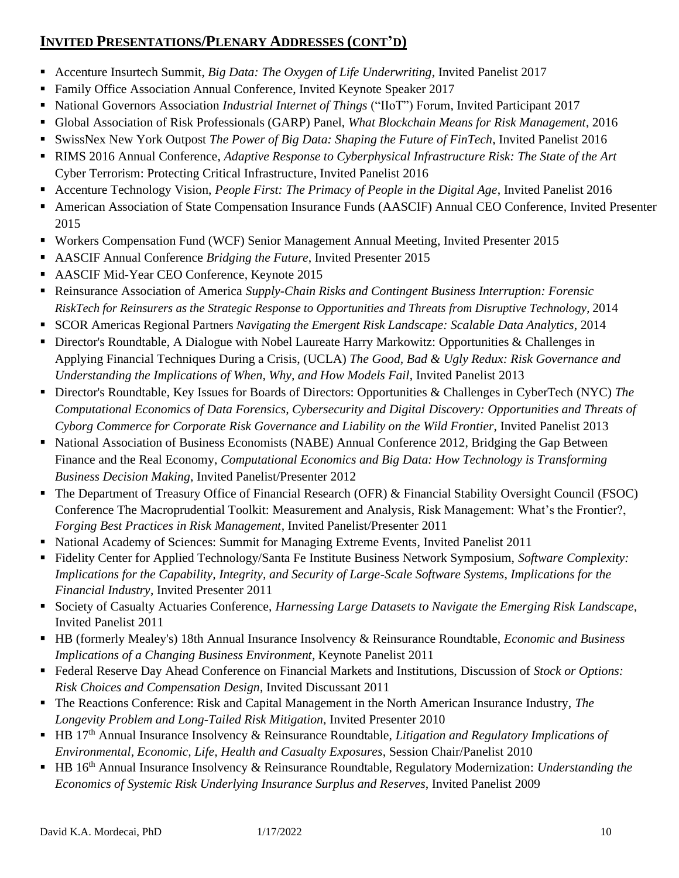# **INVITED PRESENTATIONS/PLENARY ADDRESSES (CONT'D)**

- Accenture Insurtech Summit, *Big Data: The Oxygen of Life Underwriting*, Invited Panelist 2017
- **Example 3 Family Office Association Annual Conference, Invited Keynote Speaker 2017**
- National Governors Association *Industrial Internet of Things* ("IIoT") Forum, Invited Participant 2017
- Global Association of Risk Professionals (GARP) Panel, *What Blockchain Means for Risk Management*, 2016
- SwissNex New York Outpost *The Power of Big Data: Shaping the Future of FinTech*, Invited Panelist 2016
- RIMS 2016 Annual Conference, *Adaptive Response to Cyberphysical Infrastructure Risk: The State of the Art* Cyber Terrorism: Protecting Critical Infrastructure, Invited Panelist 2016
- Accenture Technology Vision, *People First: The Primacy of People in the Digital Age*, Invited Panelist 2016
- American Association of State Compensation Insurance Funds (AASCIF) Annual CEO Conference, Invited Presenter 2015
- Workers Compensation Fund (WCF) Senior Management Annual Meeting, Invited Presenter 2015
- AASCIF Annual Conference *Bridging the Future*, Invited Presenter 2015
- AASCIF Mid-Year CEO Conference, Keynote 2015
- Reinsurance Association of America *Supply-Chain Risks and Contingent Business Interruption: Forensic RiskTech for Reinsurers as the Strategic Response to Opportunities and Threats from Disruptive Technology*, 2014
- SCOR Americas Regional Partners *Navigating the Emergent Risk Landscape: Scalable Data Analytics*, 2014
- **EXECT** Director's Roundtable, A Dialogue with Nobel Laureate Harry Markowitz: Opportunities & Challenges in Applying Financial Techniques During a Crisis, (UCLA) *The Good, Bad & Ugly Redux: Risk Governance and Understanding the Implications of When, Why, and How Models Fail*, Invited Panelist 2013
- Director's Roundtable, Key Issues for Boards of Directors: Opportunities & Challenges in CyberTech (NYC) *The Computational Economics of Data Forensics, Cybersecurity and Digital Discovery: Opportunities and Threats of Cyborg Commerce for Corporate Risk Governance and Liability on the Wild Frontier*, Invited Panelist 2013
- National Association of Business Economists (NABE) Annual Conference 2012, Bridging the Gap Between Finance and the Real Economy, *Computational Economics and Big Data: How Technology is Transforming Business Decision Making*, Invited Panelist/Presenter 2012
- The Department of Treasury Office of Financial Research (OFR) & Financial Stability Oversight Council (FSOC) Conference The Macroprudential Toolkit: Measurement and Analysis, Risk Management: What's the Frontier?, *Forging Best Practices in Risk Management*, Invited Panelist/Presenter 2011
- National Academy of Sciences: Summit for Managing Extreme Events, Invited Panelist 2011
- Fidelity Center for Applied Technology/Santa Fe Institute Business Network Symposium, *Software Complexity: Implications for the Capability, Integrity, and Security of Large-Scale Software Systems*, *Implications for the Financial Industry*, Invited Presenter 2011
- Society of Casualty Actuaries Conference, *Harnessing Large Datasets to Navigate the Emerging Risk Landscape,* Invited Panelist 2011
- HB (formerly Mealey's) 18th Annual Insurance Insolvency & Reinsurance Roundtable, *Economic and Business Implications of a Changing Business Environment*, Keynote Panelist 2011
- Federal Reserve Day Ahead Conference on Financial Markets and Institutions, Discussion of *Stock or Options: Risk Choices and Compensation Design*, Invited Discussant 2011
- The Reactions Conference: Risk and Capital Management in the North American Insurance Industry, *The Longevity Problem and Long-Tailed Risk Mitigation*, Invited Presenter 2010
- HB 17<sup>th</sup> Annual Insurance Insolvency & Reinsurance Roundtable, *Litigation and Regulatory Implications of Environmental, Economic, Life, Health and Casualty Exposures*, Session Chair/Panelist 2010
- HB 16<sup>th</sup> Annual Insurance Insolvency & Reinsurance Roundtable, Regulatory Modernization: *Understanding the Economics of Systemic Risk Underlying Insurance Surplus and Reserves*, Invited Panelist 2009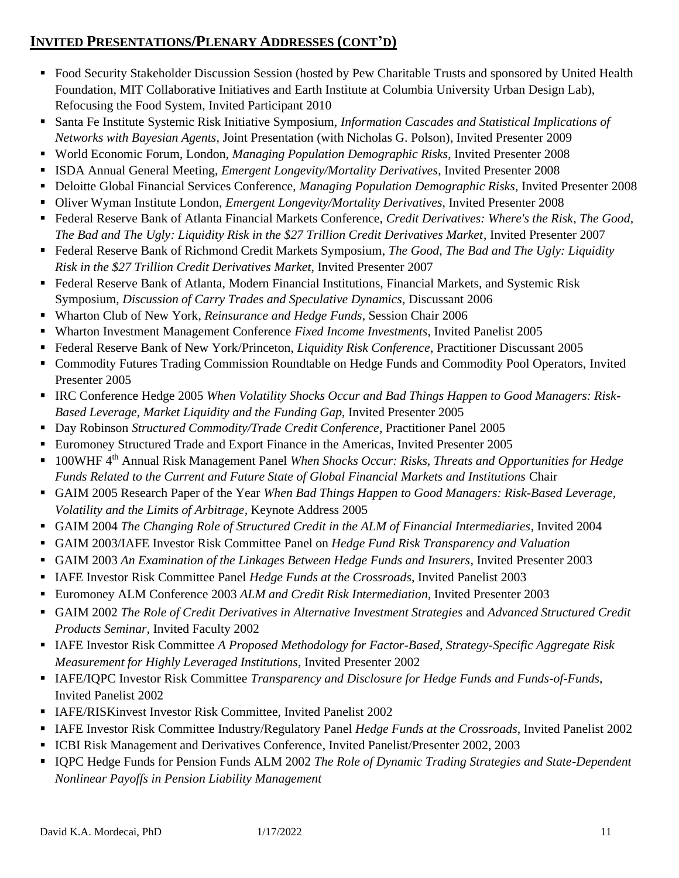# **INVITED PRESENTATIONS/PLENARY ADDRESSES (CONT'D)**

- Food Security Stakeholder Discussion Session (hosted by Pew Charitable Trusts and sponsored by United Health Foundation, MIT Collaborative Initiatives and Earth Institute at Columbia University Urban Design Lab), Refocusing the Food System, Invited Participant 2010
- Santa Fe Institute Systemic Risk Initiative Symposium, *Information Cascades and Statistical Implications of Networks with Bayesian Agents*, Joint Presentation (with Nicholas G. Polson), Invited Presenter 2009
- World Economic Forum, London, *Managing Population Demographic Risks*, Invited Presenter 2008
- ISDA Annual General Meeting, *Emergent Longevity/Mortality Derivatives*, Invited Presenter 2008
- Deloitte Global Financial Services Conference, *Managing Population Demographic Risks*, Invited Presenter 2008
- Oliver Wyman Institute London, *Emergent Longevity/Mortality Derivatives*, Invited Presenter 2008
- Federal Reserve Bank of Atlanta Financial Markets Conference, *Credit Derivatives: Where's the Risk*, *The Good, The Bad and The Ugly: Liquidity Risk in the \$27 Trillion Credit Derivatives Market*, Invited Presenter 2007
- Federal Reserve Bank of Richmond Credit Markets Symposium, *The Good, The Bad and The Ugly: Liquidity Risk in the \$27 Trillion Credit Derivatives Market*, Invited Presenter 2007
- Federal Reserve Bank of Atlanta, Modern Financial Institutions, Financial Markets, and Systemic Risk Symposium, *Discussion of Carry Trades and Speculative Dynamics*, Discussant 2006
- Wharton Club of New York, *Reinsurance and Hedge Funds*, Session Chair 2006
- Wharton Investment Management Conference *Fixed Income Investments*, Invited Panelist 2005
- Federal Reserve Bank of New York/Princeton, *Liquidity Risk Conference*, Practitioner Discussant 2005
- Commodity Futures Trading Commission Roundtable on Hedge Funds and Commodity Pool Operators, Invited Presenter 2005
- IRC Conference Hedge 2005 *When Volatility Shocks Occur and Bad Things Happen to Good Managers: Risk-Based Leverage, Market Liquidity and the Funding Gap*, Invited Presenter 2005
- Day Robinson *Structured Commodity/Trade Credit Conference,* Practitioner Panel 2005
- Euromoney Structured Trade and Export Finance in the Americas, Invited Presenter 2005
- 100WHF 4<sup>th</sup> Annual Risk Management Panel *When Shocks Occur: Risks, Threats and Opportunities for Hedge Funds Related to the Current and Future State of Global Financial Markets and Institutions* Chair
- GAIM 2005 Research Paper of the Year *When Bad Things Happen to Good Managers: Risk-Based Leverage*, *Volatility and the Limits of Arbitrage,* Keynote Address 2005
- GAIM 2004 *The Changing Role of Structured Credit in the ALM of Financial Intermediaries, Invited 2004*
- GAIM 2003/IAFE Investor Risk Committee Panel on *Hedge Fund Risk Transparency and Valuation*
- GAIM 2003 *An Examination of the Linkages Between Hedge Funds and Insurers,* Invited Presenter 2003
- IAFE Investor Risk Committee Panel *Hedge Funds at the Crossroads*, Invited Panelist 2003
- Euromoney ALM Conference 2003 ALM and Credit Risk Intermediation, Invited Presenter 2003
- GAIM 2002 *The Role of Credit Derivatives in Alternative Investment Strategies* and *Advanced Structured Credit Products Seminar,* Invited Faculty 2002
- IAFE Investor Risk Committee *A Proposed Methodology for Factor-Based, Strategy-Specific Aggregate Risk Measurement for Highly Leveraged Institutions,* Invited Presenter 2002
- **IAFE/IOPC Investor Risk Committee** *Transparency and Disclosure for Hedge Funds and Funds-of-Funds***,** Invited Panelist 2002
- **EXECTE/RISKinvest Investor Risk Committee, Invited Panelist 2002**
- IAFE Investor Risk Committee Industry/Regulatory Panel *Hedge Funds at the Crossroads*, Invited Panelist 2002
- ICBI Risk Management and Derivatives Conference, Invited Panelist/Presenter 2002, 2003
- IQPC Hedge Funds for Pension Funds ALM 2002 *The Role of Dynamic Trading Strategies and State-Dependent Nonlinear Payoffs in Pension Liability Management*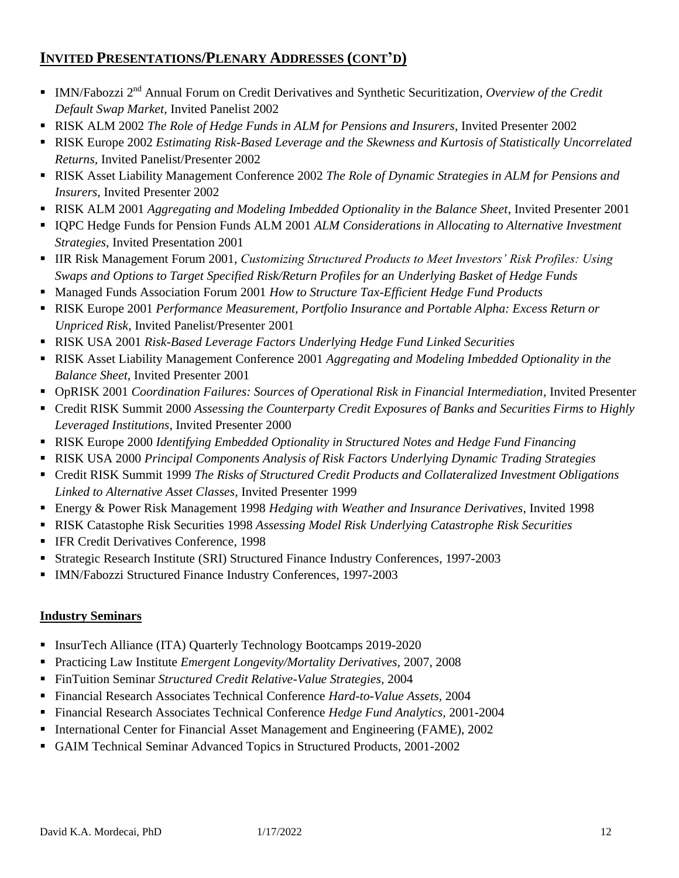# **INVITED PRESENTATIONS/PLENARY ADDRESSES (CONT'D)**

- **IMN/Fabozzi 2<sup>nd</sup> Annual Forum on Credit Derivatives and Synthetic Securitization, Overview of the Credit** *Default Swap Market*, Invited Panelist 2002
- RISK ALM 2002 *The Role of Hedge Funds in ALM for Pensions and Insurers*, Invited Presenter 2002
- RISK Europe 2002 *Estimating Risk-Based Leverage and the Skewness and Kurtosis of Statistically Uncorrelated Returns,* Invited Panelist/Presenter 2002
- RISK Asset Liability Management Conference 2002 *The Role of Dynamic Strategies in ALM for Pensions and Insurers*, Invited Presenter 2002
- RISK ALM 2001 *Aggregating and Modeling Imbedded Optionality in the Balance Sheet*, Invited Presenter 2001
- IQPC Hedge Funds for Pension Funds ALM 2001 *ALM Considerations in Allocating to Alternative Investment Strategies*, Invited Presentation 2001
- IIR Risk Management Forum 2001, *Customizing Structured Products to Meet Investors' Risk Profiles: Using Swaps and Options to Target Specified Risk/Return Profiles for an Underlying Basket of Hedge Funds*
- Managed Funds Association Forum 2001 *How to Structure Tax-Efficient Hedge Fund Products*
- **EXEX Europe 2001 Performance Measurement, Portfolio Insurance and Portable Alpha: Excess Return or** *Unpriced Risk,* Invited Panelist/Presenter 2001
- **RISK USA 2001** *Risk-Based Leverage Factors Underlying Hedge Fund Linked Securities*
- RISK Asset Liability Management Conference 2001 Aggregating and Modeling Imbedded Optionality in the *Balance Sheet*, Invited Presenter 2001
- **OpRISK 2001** *Coordination Failures: Sources of Operational Risk in Financial Intermediation***, Invited Presenter**
- Credit RISK Summit 2000 *Assessing the Counterparty Credit Exposures of Banks and Securities Firms to Highly Leveraged Institutions*, Invited Presenter 2000
- RISK Europe 2000 *Identifying Embedded Optionality in Structured Notes and Hedge Fund Financing*
- **RISK USA 2000** *Principal Components Analysis of Risk Factors Underlying Dynamic Trading Strategies*
- Credit RISK Summit 1999 *The Risks of Structured Credit Products and Collateralized Investment Obligations Linked to Alternative Asset Classes,* Invited Presenter 1999
- Energy & Power Risk Management 1998 *Hedging with Weather and Insurance Derivatives*, Invited 1998
- RISK Catastophe Risk Securities 1998 *Assessing Model Risk Underlying Catastrophe Risk Securities*
- **EXECT** IFR Credit Derivatives Conference, 1998
- Strategic Research Institute (SRI) Structured Finance Industry Conferences, 1997-2003
- IMN/Fabozzi Structured Finance Industry Conferences, 1997-2003

### **Industry Seminars**

- **EXECUTE:** InsurTech Alliance (ITA) Quarterly Technology Bootcamps 2019-2020
- Practicing Law Institute *Emergent Longevity/Mortality Derivatives,* 2007, 2008
- FinTuition Seminar *Structured Credit Relative-Value Strategies,* 2004
- Financial Research Associates Technical Conference *Hard-to-Value Assets,* 2004
- Financial Research Associates Technical Conference *Hedge Fund Analytics,* 2001-2004
- International Center for Financial Asset Management and Engineering (FAME), 2002
- GAIM Technical Seminar Advanced Topics in Structured Products, 2001-2002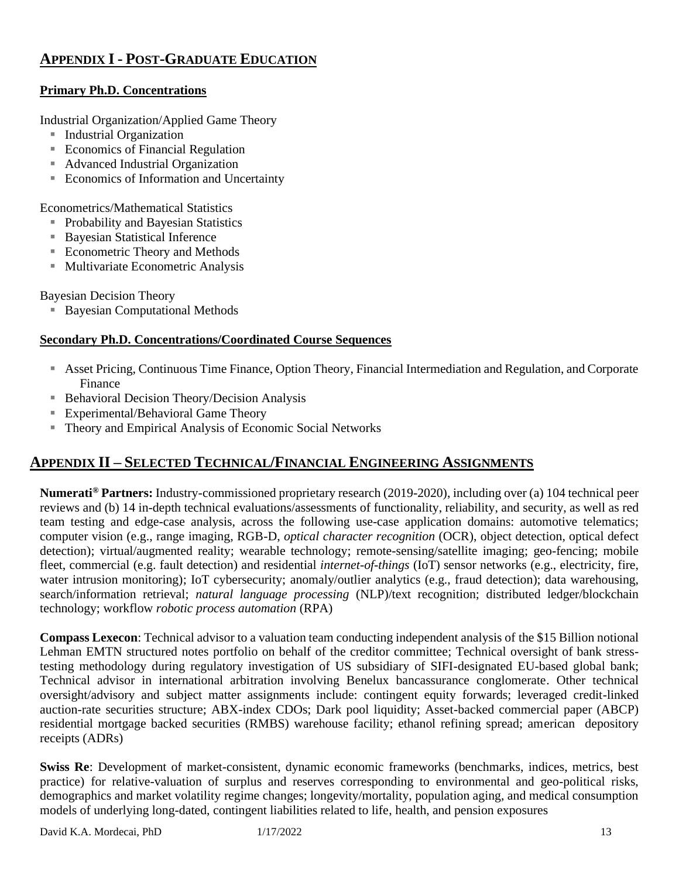# **APPENDIX I - POST-GRADUATE EDUCATION**

### **Primary Ph.D. Concentrations**

Industrial Organization/Applied Game Theory

- Industrial Organization
- Economics of Financial Regulation
- Advanced Industrial Organization
- Economics of Information and Uncertainty

Econometrics/Mathematical Statistics

- Probability and Bayesian Statistics
- Bayesian Statistical Inference
- Econometric Theory and Methods
- Multivariate Econometric Analysis

Bayesian Decision Theory

■ Bayesian Computational Methods

#### **Secondary Ph.D. Concentrations/Coordinated Course Sequences**

- Asset Pricing, Continuous Time Finance, Option Theory, Financial Intermediation and Regulation, and Corporate Finance
- Behavioral Decision Theory/Decision Analysis
- Experimental/Behavioral Game Theory
- Theory and Empirical Analysis of Economic Social Networks

# **APPENDIX II – SELECTED TECHNICAL/FINANCIAL ENGINEERING ASSIGNMENTS**

**Numerati® Partners:** Industry-commissioned proprietary research (2019-2020), including over (a) 104 technical peer reviews and (b) 14 in-depth technical evaluations/assessments of functionality, reliability, and security, as well as red team testing and edge-case analysis, across the following use-case application domains: automotive telematics; computer vision (e.g., range imaging, RGB-D, *optical character recognition* (OCR), object detection, optical defect detection); virtual/augmented reality; wearable technology; remote-sensing/satellite imaging; geo-fencing; mobile fleet, commercial (e.g. fault detection) and residential *internet-of-things* (IoT) sensor networks (e.g., electricity, fire, water intrusion monitoring); IoT cybersecurity; anomaly/outlier analytics (e.g., fraud detection); data warehousing, search/information retrieval; *natural language processing* (NLP)/text recognition; distributed ledger/blockchain technology; workflow *robotic process automation* (RPA)

**Compass Lexecon**: Technical advisor to a valuation team conducting independent analysis of the \$15 Billion notional Lehman EMTN structured notes portfolio on behalf of the creditor committee; Technical oversight of bank stresstesting methodology during regulatory investigation of US subsidiary of SIFI-designated EU-based global bank; Technical advisor in international arbitration involving Benelux bancassurance conglomerate. Other technical oversight/advisory and subject matter assignments include: contingent equity forwards; leveraged credit-linked auction-rate securities structure; ABX-index CDOs; Dark pool liquidity; Asset-backed commercial paper (ABCP) residential mortgage backed securities (RMBS) warehouse facility; ethanol refining spread; american depository receipts (ADRs)

**Swiss Re**: Development of market-consistent, dynamic economic frameworks (benchmarks, indices, metrics, best practice) for relative-valuation of surplus and reserves corresponding to environmental and geo-political risks, demographics and market volatility regime changes; longevity/mortality, population aging, and medical consumption models of underlying long-dated, contingent liabilities related to life, health, and pension exposures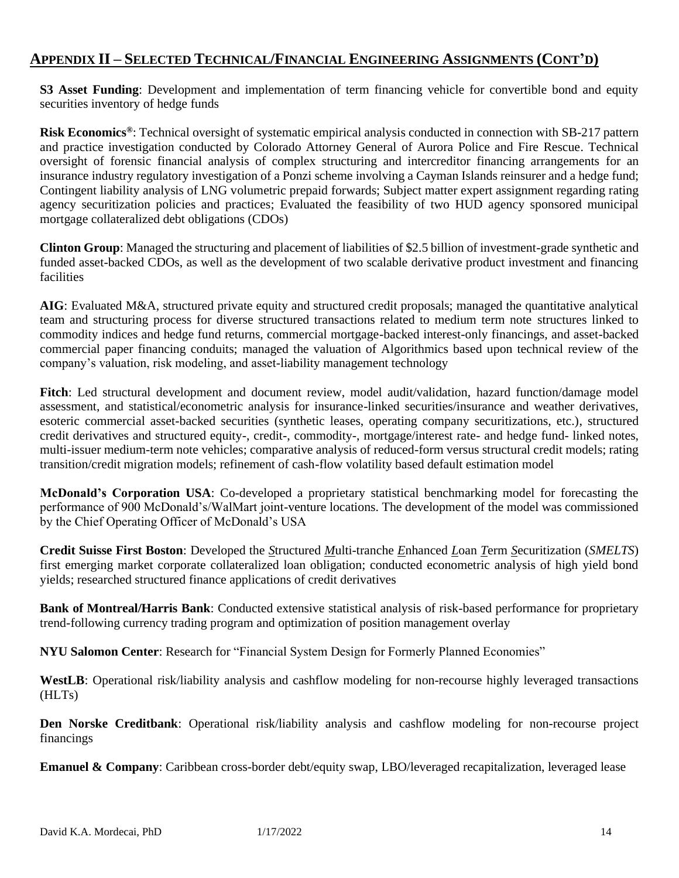# **APPENDIX II – SELECTED TECHNICAL/FINANCIAL ENGINEERING ASSIGNMENTS (CONT'D)**

**S3 Asset Funding**: Development and implementation of term financing vehicle for convertible bond and equity securities inventory of hedge funds

**Risk Economics®**: Technical oversight of systematic empirical analysis conducted in connection with SB-217 pattern and practice investigation conducted by Colorado Attorney General of Aurora Police and Fire Rescue. Technical oversight of forensic financial analysis of complex structuring and intercreditor financing arrangements for an insurance industry regulatory investigation of a Ponzi scheme involving a Cayman Islands reinsurer and a hedge fund; Contingent liability analysis of LNG volumetric prepaid forwards; Subject matter expert assignment regarding rating agency securitization policies and practices; Evaluated the feasibility of two HUD agency sponsored municipal mortgage collateralized debt obligations (CDOs)

**Clinton Group**: Managed the structuring and placement of liabilities of \$2.5 billion of investment-grade synthetic and funded asset-backed CDOs, as well as the development of two scalable derivative product investment and financing facilities

**AIG**: Evaluated M&A, structured private equity and structured credit proposals; managed the quantitative analytical team and structuring process for diverse structured transactions related to medium term note structures linked to commodity indices and hedge fund returns, commercial mortgage-backed interest-only financings, and asset-backed commercial paper financing conduits; managed the valuation of Algorithmics based upon technical review of the company's valuation, risk modeling, and asset-liability management technology

**Fitch**: Led structural development and document review, model audit/validation, hazard function/damage model assessment, and statistical/econometric analysis for insurance-linked securities/insurance and weather derivatives, esoteric commercial asset-backed securities (synthetic leases, operating company securitizations, etc.), structured credit derivatives and structured equity-, credit-, commodity-, mortgage/interest rate- and hedge fund- linked notes, multi-issuer medium-term note vehicles; comparative analysis of reduced-form versus structural credit models; rating transition/credit migration models; refinement of cash-flow volatility based default estimation model

**McDonald's Corporation USA**: Co-developed a proprietary statistical benchmarking model for forecasting the performance of 900 McDonald's/WalMart joint-venture locations. The development of the model was commissioned by the Chief Operating Officer of McDonald's USA

**Credit Suisse First Boston**: Developed the *S*tructured *M*ulti-tranche *E*nhanced *L*oan *T*erm *S*ecuritization (*SMELTS*) first emerging market corporate collateralized loan obligation; conducted econometric analysis of high yield bond yields; researched structured finance applications of credit derivatives

**Bank of Montreal/Harris Bank**: Conducted extensive statistical analysis of risk-based performance for proprietary trend-following currency trading program and optimization of position management overlay

**NYU Salomon Center**: Research for "Financial System Design for Formerly Planned Economies"

**WestLB**: Operational risk/liability analysis and cashflow modeling for non-recourse highly leveraged transactions (HLTs)

**Den Norske Creditbank**: Operational risk/liability analysis and cashflow modeling for non-recourse project financings

**Emanuel & Company**: Caribbean cross-border debt/equity swap, LBO/leveraged recapitalization, leveraged lease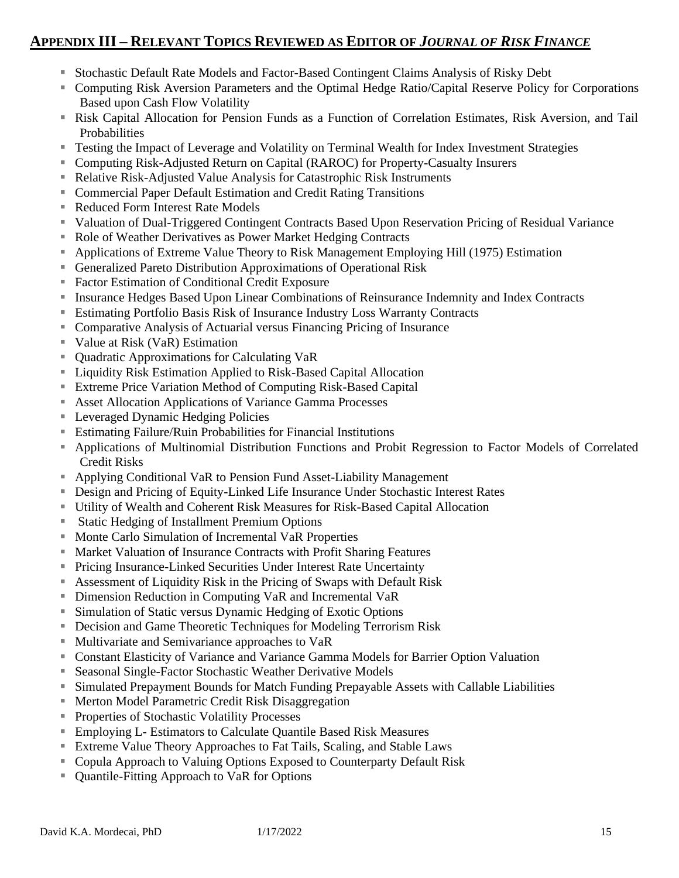# **APPENDIX III – RELEVANT TOPICS REVIEWED AS EDITOR OF** *JOURNAL OF RISK FINANCE*

- Stochastic Default Rate Models and Factor-Based Contingent Claims Analysis of Risky Debt
- Computing Risk Aversion Parameters and the Optimal Hedge Ratio/Capital Reserve Policy for Corporations Based upon Cash Flow Volatility
- Risk Capital Allocation for Pension Funds as a Function of Correlation Estimates, Risk Aversion, and Tail Probabilities
- Testing the Impact of Leverage and Volatility on Terminal Wealth for Index Investment Strategies
- Computing Risk-Adjusted Return on Capital (RAROC) for Property-Casualty Insurers
- Relative Risk-Adjusted Value Analysis for Catastrophic Risk Instruments
- Commercial Paper Default Estimation and Credit Rating Transitions
- Reduced Form Interest Rate Models
- Valuation of Dual-Triggered Contingent Contracts Based Upon Reservation Pricing of Residual Variance
- Role of Weather Derivatives as Power Market Hedging Contracts
- Applications of Extreme Value Theory to Risk Management Employing Hill (1975) Estimation
- Generalized Pareto Distribution Approximations of Operational Risk
- Factor Estimation of Conditional Credit Exposure
- Insurance Hedges Based Upon Linear Combinations of Reinsurance Indemnity and Index Contracts
- Estimating Portfolio Basis Risk of Insurance Industry Loss Warranty Contracts
- Comparative Analysis of Actuarial versus Financing Pricing of Insurance
- Value at Risk (VaR) Estimation
- Quadratic Approximations for Calculating VaR
- Liquidity Risk Estimation Applied to Risk-Based Capital Allocation
- Extreme Price Variation Method of Computing Risk-Based Capital
- Asset Allocation Applications of Variance Gamma Processes
- Leveraged Dynamic Hedging Policies
- Estimating Failure/Ruin Probabilities for Financial Institutions
- Applications of Multinomial Distribution Functions and Probit Regression to Factor Models of Correlated Credit Risks
- Applying Conditional VaR to Pension Fund Asset-Liability Management
- **EXECUTE:** Design and Pricing of Equity-Linked Life Insurance Under Stochastic Interest Rates
- Utility of Wealth and Coherent Risk Measures for Risk-Based Capital Allocation
- Static Hedging of Installment Premium Options
- Monte Carlo Simulation of Incremental VaR Properties
- Market Valuation of Insurance Contracts with Profit Sharing Features
- Pricing Insurance-Linked Securities Under Interest Rate Uncertainty
- Assessment of Liquidity Risk in the Pricing of Swaps with Default Risk
- Dimension Reduction in Computing VaR and Incremental VaR
- Simulation of Static versus Dynamic Hedging of Exotic Options
- **Exercise 1 Decision and Game Theoretic Techniques for Modeling Terrorism Risk**
- Multivariate and Semivariance approaches to VaR
- Constant Elasticity of Variance and Variance Gamma Models for Barrier Option Valuation
- Seasonal Single-Factor Stochastic Weather Derivative Models
- Simulated Prepayment Bounds for Match Funding Prepayable Assets with Callable Liabilities
- Merton Model Parametric Credit Risk Disaggregation
- Properties of Stochastic Volatility Processes
- Employing L- Estimators to Calculate Quantile Based Risk Measures
- Extreme Value Theory Approaches to Fat Tails, Scaling, and Stable Laws
- Copula Approach to Valuing Options Exposed to Counterparty Default Risk
- Quantile-Fitting Approach to VaR for Options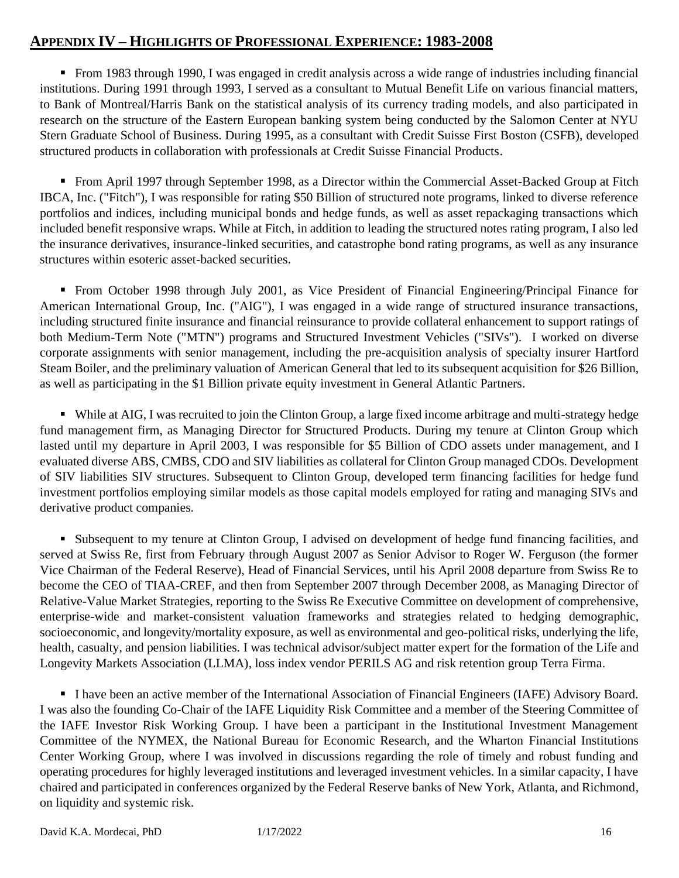## **APPENDIX IV – HIGHLIGHTS OF PROFESSIONAL EXPERIENCE: 1983-2008**

■ From 1983 through 1990, I was engaged in credit analysis across a wide range of industries including financial institutions. During 1991 through 1993, I served as a consultant to Mutual Benefit Life on various financial matters, to Bank of Montreal/Harris Bank on the statistical analysis of its currency trading models, and also participated in research on the structure of the Eastern European banking system being conducted by the Salomon Center at NYU Stern Graduate School of Business. During 1995, as a consultant with Credit Suisse First Boston (CSFB), developed structured products in collaboration with professionals at Credit Suisse Financial Products.

■ From April 1997 through September 1998, as a Director within the Commercial Asset-Backed Group at Fitch IBCA, Inc. ("Fitch"), I was responsible for rating \$50 Billion of structured note programs, linked to diverse reference portfolios and indices, including municipal bonds and hedge funds, as well as asset repackaging transactions which included benefit responsive wraps. While at Fitch, in addition to leading the structured notes rating program, I also led the insurance derivatives, insurance-linked securities, and catastrophe bond rating programs, as well as any insurance structures within esoteric asset-backed securities.

■ From October 1998 through July 2001, as Vice President of Financial Engineering/Principal Finance for American International Group, Inc. ("AIG"), I was engaged in a wide range of structured insurance transactions, including structured finite insurance and financial reinsurance to provide collateral enhancement to support ratings of both Medium-Term Note ("MTN") programs and Structured Investment Vehicles ("SIVs"). I worked on diverse corporate assignments with senior management, including the pre-acquisition analysis of specialty insurer Hartford Steam Boiler, and the preliminary valuation of American General that led to its subsequent acquisition for \$26 Billion, as well as participating in the \$1 Billion private equity investment in General Atlantic Partners.

▪ While at AIG, I was recruited to join the Clinton Group, a large fixed income arbitrage and multi-strategy hedge fund management firm, as Managing Director for Structured Products. During my tenure at Clinton Group which lasted until my departure in April 2003, I was responsible for \$5 Billion of CDO assets under management, and I evaluated diverse ABS, CMBS, CDO and SIV liabilities as collateral for Clinton Group managed CDOs. Development of SIV liabilities SIV structures. Subsequent to Clinton Group, developed term financing facilities for hedge fund investment portfolios employing similar models as those capital models employed for rating and managing SIVs and derivative product companies.

▪ Subsequent to my tenure at Clinton Group, I advised on development of hedge fund financing facilities, and served at Swiss Re, first from February through August 2007 as Senior Advisor to Roger W. Ferguson (the former Vice Chairman of the Federal Reserve), Head of Financial Services, until his April 2008 departure from Swiss Re to become the CEO of TIAA-CREF, and then from September 2007 through December 2008, as Managing Director of Relative-Value Market Strategies, reporting to the Swiss Re Executive Committee on development of comprehensive, enterprise-wide and market-consistent valuation frameworks and strategies related to hedging demographic, socioeconomic, and longevity/mortality exposure, as well as environmental and geo-political risks, underlying the life, health, casualty, and pension liabilities. I was technical advisor/subject matter expert for the formation of the Life and Longevity Markets Association (LLMA), loss index vendor PERILS AG and risk retention group Terra Firma.

▪ I have been an active member of the International Association of Financial Engineers (IAFE) Advisory Board. I was also the founding Co-Chair of the IAFE Liquidity Risk Committee and a member of the Steering Committee of the IAFE Investor Risk Working Group. I have been a participant in the Institutional Investment Management Committee of the NYMEX, the National Bureau for Economic Research, and the Wharton Financial Institutions Center Working Group, where I was involved in discussions regarding the role of timely and robust funding and operating procedures for highly leveraged institutions and leveraged investment vehicles. In a similar capacity, I have chaired and participated in conferences organized by the Federal Reserve banks of New York, Atlanta, and Richmond, on liquidity and systemic risk.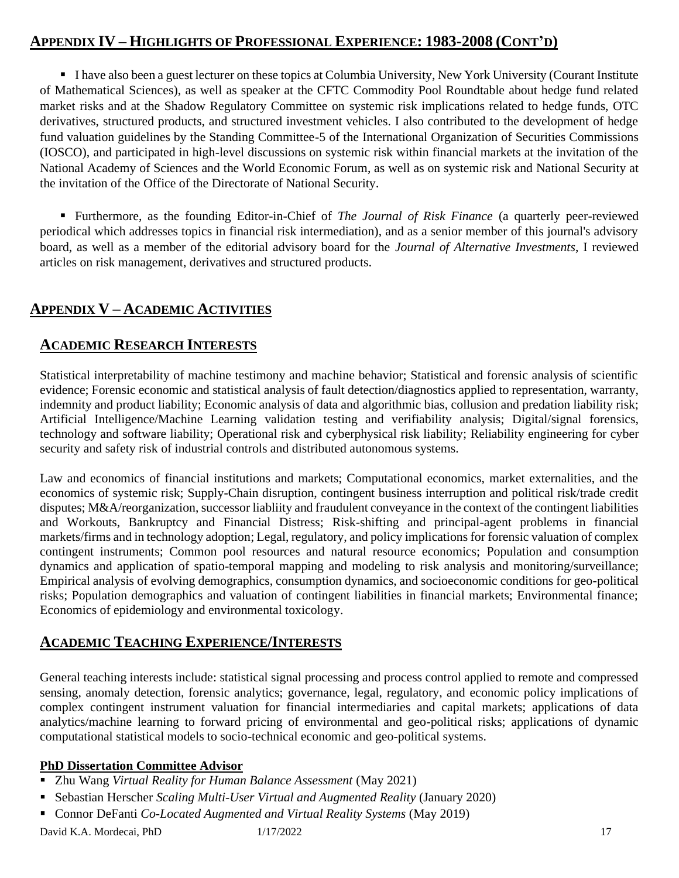# **APPENDIX IV – HIGHLIGHTS OF PROFESSIONAL EXPERIENCE: 1983-2008 (CONT'D)**

■ I have also been a guest lecturer on these topics at Columbia University, New York University (Courant Institute of Mathematical Sciences), as well as speaker at the CFTC Commodity Pool Roundtable about hedge fund related market risks and at the Shadow Regulatory Committee on systemic risk implications related to hedge funds, OTC derivatives, structured products, and structured investment vehicles. I also contributed to the development of hedge fund valuation guidelines by the Standing Committee-5 of the International Organization of Securities Commissions (IOSCO), and participated in high-level discussions on systemic risk within financial markets at the invitation of the National Academy of Sciences and the World Economic Forum, as well as on systemic risk and National Security at the invitation of the Office of the Directorate of National Security.

▪ Furthermore, as the founding Editor-in-Chief of *The Journal of Risk Finance* (a quarterly peer-reviewed periodical which addresses topics in financial risk intermediation), and as a senior member of this journal's advisory board, as well as a member of the editorial advisory board for the *Journal of Alternative Investments*, I reviewed articles on risk management, derivatives and structured products.

# **APPENDIX V – ACADEMIC ACTIVITIES**

### **ACADEMIC RESEARCH INTERESTS**

Statistical interpretability of machine testimony and machine behavior; Statistical and forensic analysis of scientific evidence; Forensic economic and statistical analysis of fault detection/diagnostics applied to representation, warranty, indemnity and product liability; Economic analysis of data and algorithmic bias, collusion and predation liability risk; Artificial Intelligence/Machine Learning validation testing and verifiability analysis; Digital/signal forensics, technology and software liability; Operational risk and cyberphysical risk liability; Reliability engineering for cyber security and safety risk of industrial controls and distributed autonomous systems.

Law and economics of financial institutions and markets; Computational economics, market externalities, and the economics of systemic risk; Supply-Chain disruption, contingent business interruption and political risk/trade credit disputes; M&A/reorganization, successor liabliity and fraudulent conveyance in the context of the contingent liabilities and Workouts, Bankruptcy and Financial Distress; Risk-shifting and principal-agent problems in financial markets/firms and in technology adoption; Legal, regulatory, and policy implications for forensic valuation of complex contingent instruments; Common pool resources and natural resource economics; Population and consumption dynamics and application of spatio-temporal mapping and modeling to risk analysis and monitoring/surveillance; Empirical analysis of evolving demographics, consumption dynamics, and socioeconomic conditions for geo-political risks; Population demographics and valuation of contingent liabilities in financial markets; Environmental finance; Economics of epidemiology and environmental toxicology.

# **ACADEMIC TEACHING EXPERIENCE/INTERESTS**

General teaching interests include: statistical signal processing and process control applied to remote and compressed sensing, anomaly detection, forensic analytics; governance, legal, regulatory, and economic policy implications of complex contingent instrument valuation for financial intermediaries and capital markets; applications of data analytics/machine learning to forward pricing of environmental and geo-political risks; applications of dynamic computational statistical models to socio-technical economic and geo-political systems.

#### **PhD Dissertation Committee Advisor**

- Zhu Wang *Virtual Reality for Human Balance Assessment* (May 2021)
- Sebastian Herscher *Scaling Multi-User Virtual and Augmented Reality* (January 2020)
- Connor DeFanti *Co-Located Augmented and Virtual Reality Systems* (May 2019)

David K.A. Mordecai, PhD 1/17/2022 17